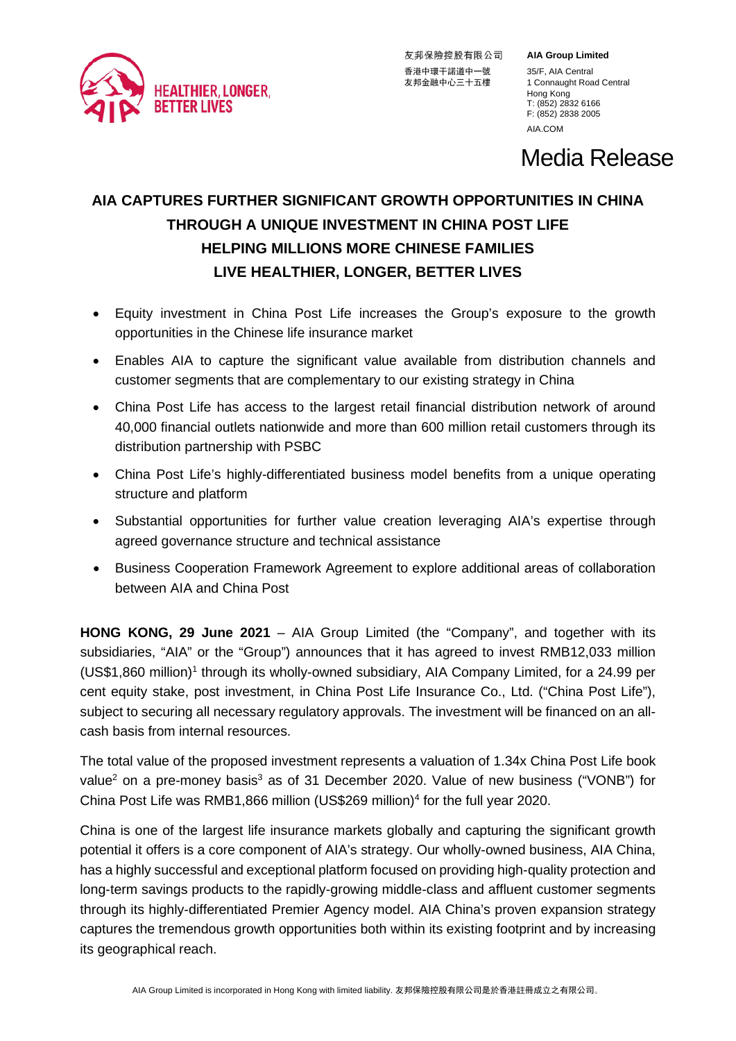

友邦保險控股有限公司 香港中環干諾道中一號 35/F, AIA Central<br>友邦金融中心三十五樓 1 Connaught Roa

**AIA Group Limited**

1 Connaught Road Central Hong Kong T: (852) 2832 6166 F: (852) 2838 2005 [AIA.COM](http://aia.com/)

Media Release

# **AIA CAPTURES FURTHER SIGNIFICANT GROWTH OPPORTUNITIES IN CHINA THROUGH A UNIQUE INVESTMENT IN CHINA POST LIFE HELPING MILLIONS MORE CHINESE FAMILIES LIVE HEALTHIER, LONGER, BETTER LIVES**

- Equity investment in China Post Life increases the Group's exposure to the growth opportunities in the Chinese life insurance market
- Enables AIA to capture the significant value available from distribution channels and customer segments that are complementary to our existing strategy in China
- China Post Life has access to the largest retail financial distribution network of around 40,000 financial outlets nationwide and more than 600 million retail customers through its distribution partnership with PSBC
- China Post Life's highly-differentiated business model benefits from a unique operating structure and platform
- Substantial opportunities for further value creation leveraging AIA's expertise through agreed governance structure and technical assistance
- Business Cooperation Framework Agreement to explore additional areas of collaboration between AIA and China Post

**HONG KONG, 29 June 2021** – AIA Group Limited (the "Company", and together with its subsidiaries, "AIA" or the "Group") announces that it has agreed to invest RMB12,033 million  $(USS1,860 \text{ million})$ <sup>1</sup> through its wholly-owned subsidiary, AIA Company Limited, for a 24.99 per cent equity stake, post investment, in China Post Life Insurance Co., Ltd. ("China Post Life"), subject to securing all necessary regulatory approvals. The investment will be financed on an allcash basis from internal resources.

The total value of the proposed investment represents a valuation of 1.34x China Post Life book value<sup>2</sup> on a pre-money basis<sup>3</sup> as of 31 December 2020. Value of new business ("VONB") for China Post Life was RMB1,866 million (US\$269 million)<sup>4</sup> for the full year 2020.

China is one of the largest life insurance markets globally and capturing the significant growth potential it offers is a core component of AIA's strategy. Our wholly-owned business, AIA China, has a highly successful and exceptional platform focused on providing high-quality protection and long-term savings products to the rapidly-growing middle-class and affluent customer segments through its highly-differentiated Premier Agency model. AIA China's proven expansion strategy captures the tremendous growth opportunities both within its existing footprint and by increasing its geographical reach.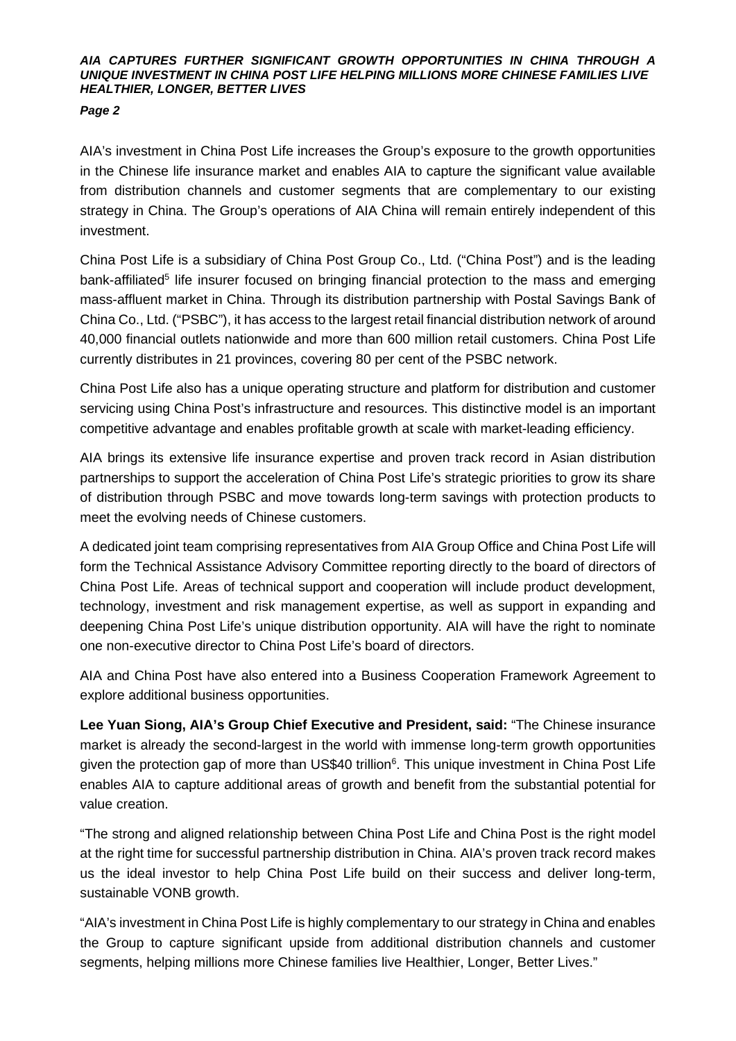### *AIA CAPTURES FURTHER SIGNIFICANT GROWTH OPPORTUNITIES IN CHINA THROUGH A UNIQUE INVESTMENT IN CHINA POST LIFE HELPING MILLIONS MORE CHINESE FAMILIES LIVE HEALTHIER, LONGER, BETTER LIVES*

# *Page 2*

AIA's investment in China Post Life increases the Group's exposure to the growth opportunities in the Chinese life insurance market and enables AIA to capture the significant value available from distribution channels and customer segments that are complementary to our existing strategy in China. The Group's operations of AIA China will remain entirely independent of this investment.

China Post Life is a subsidiary of China Post Group Co., Ltd. ("China Post") and is the leading bank-affiliated<sup>5</sup> life insurer focused on bringing financial protection to the mass and emerging mass-affluent market in China. Through its distribution partnership with Postal Savings Bank of China Co., Ltd. ("PSBC"), it has access to the largest retail financial distribution network of around 40,000 financial outlets nationwide and more than 600 million retail customers. China Post Life currently distributes in 21 provinces, covering 80 per cent of the PSBC network.

China Post Life also has a unique operating structure and platform for distribution and customer servicing using China Post's infrastructure and resources. This distinctive model is an important competitive advantage and enables profitable growth at scale with market-leading efficiency.

AIA brings its extensive life insurance expertise and proven track record in Asian distribution partnerships to support the acceleration of China Post Life's strategic priorities to grow its share of distribution through PSBC and move towards long-term savings with protection products to meet the evolving needs of Chinese customers.

A dedicated joint team comprising representatives from AIA Group Office and China Post Life will form the Technical Assistance Advisory Committee reporting directly to the board of directors of China Post Life. Areas of technical support and cooperation will include product development, technology, investment and risk management expertise, as well as support in expanding and deepening China Post Life's unique distribution opportunity. AIA will have the right to nominate one non-executive director to China Post Life's board of directors.

AIA and China Post have also entered into a Business Cooperation Framework Agreement to explore additional business opportunities.

**Lee Yuan Siong, AIA's Group Chief Executive and President, said:** "The Chinese insurance market is already the second-largest in the world with immense long-term growth opportunities given the protection gap of more than US\$40 trillion<sup>6</sup>. This unique investment in China Post Life enables AIA to capture additional areas of growth and benefit from the substantial potential for value creation.

"The strong and aligned relationship between China Post Life and China Post is the right model at the right time for successful partnership distribution in China. AIA's proven track record makes us the ideal investor to help China Post Life build on their success and deliver long-term, sustainable VONB growth.

"AIA's investment in China Post Life is highly complementary to our strategy in China and enables the Group to capture significant upside from additional distribution channels and customer segments, helping millions more Chinese families live Healthier, Longer, Better Lives."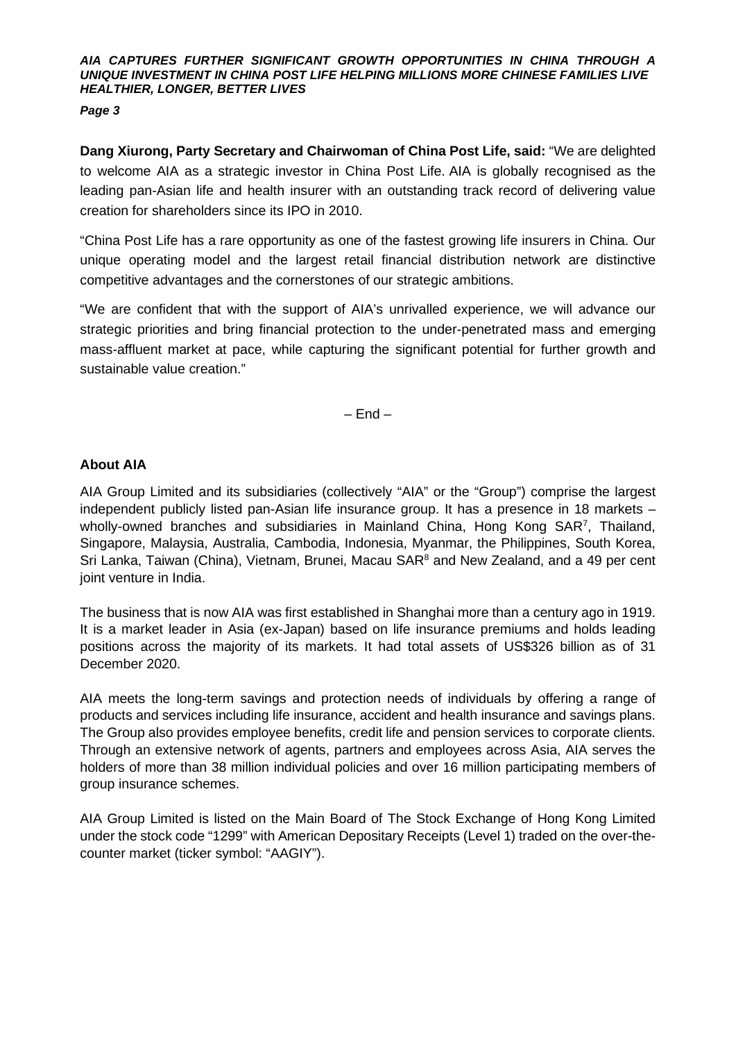### *AIA CAPTURES FURTHER SIGNIFICANT GROWTH OPPORTUNITIES IN CHINA THROUGH A UNIQUE INVESTMENT IN CHINA POST LIFE HELPING MILLIONS MORE CHINESE FAMILIES LIVE HEALTHIER, LONGER, BETTER LIVES*

## *Page 3*

**Dang Xiurong, Party Secretary and Chairwoman of China Post Life, said:** "We are delighted to welcome AIA as a strategic investor in China Post Life. AIA is globally recognised as the leading pan-Asian life and health insurer with an outstanding track record of delivering value creation for shareholders since its IPO in 2010.

"China Post Life has a rare opportunity as one of the fastest growing life insurers in China. Our unique operating model and the largest retail financial distribution network are distinctive competitive advantages and the cornerstones of our strategic ambitions.

"We are confident that with the support of AIA's unrivalled experience, we will advance our strategic priorities and bring financial protection to the under-penetrated mass and emerging mass-affluent market at pace, while capturing the significant potential for further growth and sustainable value creation."

 $-$  End  $-$ 

# **About AIA**

AIA Group Limited and its subsidiaries (collectively "AIA" or the "Group") comprise the largest independent publicly listed pan-Asian life insurance group. It has a presence in 18 markets – wholly-owned branches and subsidiaries in Mainland China, Hong Kong SAR<sup>7</sup>, Thailand, Singapore, Malaysia, Australia, Cambodia, Indonesia, Myanmar, the Philippines, South Korea, Sri Lanka, Taiwan (China), Vietnam, Brunei, Macau SAR<sup>8</sup> and New Zealand, and a 49 per cent joint venture in India.

The business that is now AIA was first established in Shanghai more than a century ago in 1919. It is a market leader in Asia (ex-Japan) based on life insurance premiums and holds leading positions across the majority of its markets. It had total assets of US\$326 billion as of 31 December 2020.

AIA meets the long-term savings and protection needs of individuals by offering a range of products and services including life insurance, accident and health insurance and savings plans. The Group also provides employee benefits, credit life and pension services to corporate clients. Through an extensive network of agents, partners and employees across Asia, AIA serves the holders of more than 38 million individual policies and over 16 million participating members of group insurance schemes.

AIA Group Limited is listed on the Main Board of The Stock Exchange of Hong Kong Limited under the stock code "1299" with American Depositary Receipts (Level 1) traded on the over-thecounter market (ticker symbol: "AAGIY").